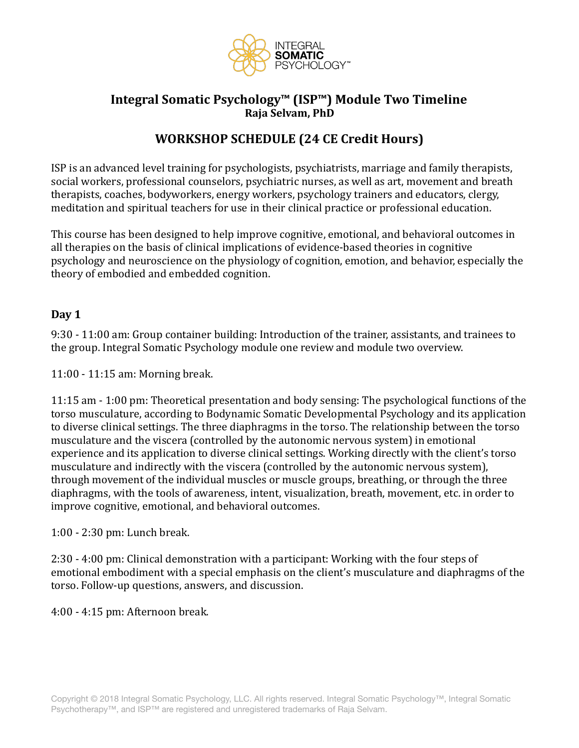

## Integral Somatic Psychology<sup>™</sup> (ISP<sup>™</sup>) Module Two Timeline **Raja Selvam, PhD**

# **WORKSHOP SCHEDULE (24 CE Credit Hours)**

ISP is an advanced level training for psychologists, psychiatrists, marriage and family therapists, social workers, professional counselors, psychiatric nurses, as well as art, movement and breath therapists, coaches, bodyworkers, energy workers, psychology trainers and educators, clergy, meditation and spiritual teachers for use in their clinical practice or professional education.

This course has been designed to help improve cognitive, emotional, and behavioral outcomes in all therapies on the basis of clinical implications of evidence-based theories in cognitive psychology and neuroscience on the physiology of cognition, emotion, and behavior, especially the theory of embodied and embedded cognition.

#### Day 1

9:30 - 11:00 am: Group container building: Introduction of the trainer, assistants, and trainees to the group. Integral Somatic Psychology module one review and module two overview.

11:00 - 11:15 am: Morning break.

11:15 am - 1:00 pm: Theoretical presentation and body sensing: The psychological functions of the torso musculature, according to Bodynamic Somatic Developmental Psychology and its application to diverse clinical settings. The three diaphragms in the torso. The relationship between the torso musculature and the viscera (controlled by the autonomic nervous system) in emotional experience and its application to diverse clinical settings. Working directly with the client's torso musculature and indirectly with the viscera (controlled by the autonomic nervous system), through movement of the individual muscles or muscle groups, breathing, or through the three diaphragms, with the tools of awareness, intent, visualization, breath, movement, etc. in order to improve cognitive, emotional, and behavioral outcomes.

1:00 - 2:30 pm: Lunch break.

2:30 - 4:00 pm: Clinical demonstration with a participant: Working with the four steps of emotional embodiment with a special emphasis on the client's musculature and diaphragms of the torso. Follow-up questions, answers, and discussion.

4:00 - 4:15 pm: Afternoon break.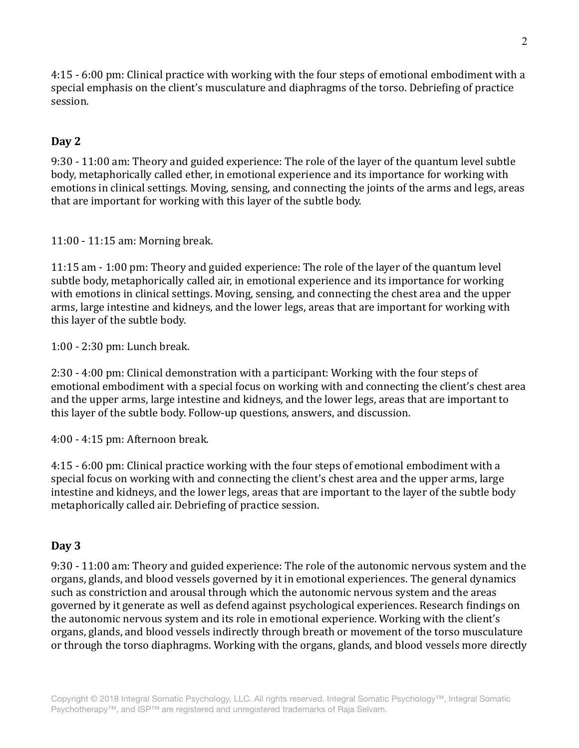4:15 - 6:00 pm: Clinical practice with working with the four steps of emotional embodiment with a special emphasis on the client's musculature and diaphragms of the torso. Debriefing of practice session. 

### **Day 2**

9:30 - 11:00 am: Theory and guided experience: The role of the layer of the quantum level subtle body, metaphorically called ether, in emotional experience and its importance for working with emotions in clinical settings. Moving, sensing, and connecting the joints of the arms and legs, areas that are important for working with this layer of the subtle body.

11:00 - 11:15 am: Morning break. 

11:15 am - 1:00 pm: Theory and guided experience: The role of the layer of the quantum level subtle body, metaphorically called air, in emotional experience and its importance for working with emotions in clinical settings. Moving, sensing, and connecting the chest area and the upper arms, large intestine and kidneys, and the lower legs, areas that are important for working with this layer of the subtle body.

1:00 - 2:30 pm: Lunch break. 

2:30 - 4:00 pm: Clinical demonstration with a participant: Working with the four steps of emotional embodiment with a special focus on working with and connecting the client's chest area and the upper arms, large intestine and kidneys, and the lower legs, areas that are important to this layer of the subtle body. Follow-up questions, answers, and discussion.

4:00 - 4:15 pm: Afternoon break. 

4:15 - 6:00 pm: Clinical practice working with the four steps of emotional embodiment with a special focus on working with and connecting the client's chest area and the upper arms, large intestine and kidneys, and the lower legs, areas that are important to the layer of the subtle body metaphorically called air. Debriefing of practice session.

#### **Day 3**

9:30 - 11:00 am: Theory and guided experience: The role of the autonomic nervous system and the organs, glands, and blood vessels governed by it in emotional experiences. The general dynamics such as constriction and arousal through which the autonomic nervous system and the areas governed by it generate as well as defend against psychological experiences. Research findings on the autonomic nervous system and its role in emotional experience. Working with the client's organs, glands, and blood vessels indirectly through breath or movement of the torso musculature or through the torso diaphragms. Working with the organs, glands, and blood vessels more directly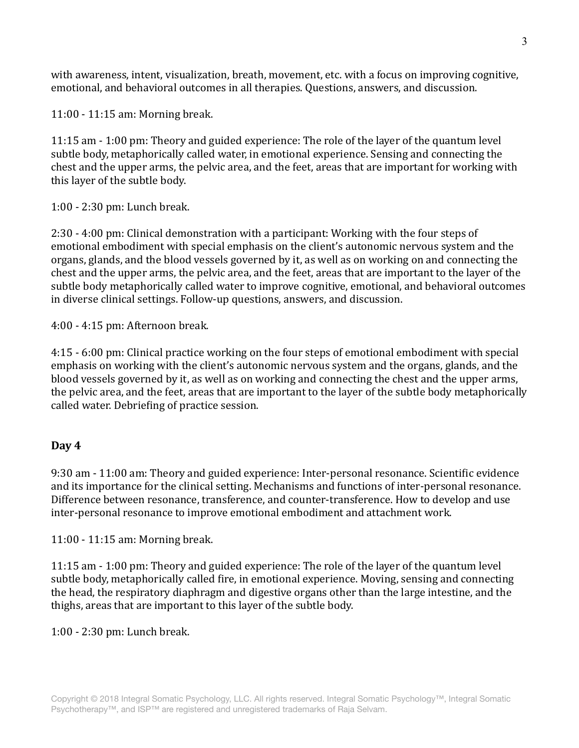with awareness, intent, visualization, breath, movement, etc. with a focus on improving cognitive, emotional, and behavioral outcomes in all therapies. Questions, answers, and discussion.

11:00 - 11:15 am: Morning break.

11:15 am - 1:00 pm: Theory and guided experience: The role of the layer of the quantum level subtle body, metaphorically called water, in emotional experience. Sensing and connecting the chest and the upper arms, the pelvic area, and the feet, areas that are important for working with this layer of the subtle body.

1:00 - 2:30 pm: Lunch break. 

2:30 - 4:00 pm: Clinical demonstration with a participant: Working with the four steps of emotional embodiment with special emphasis on the client's autonomic nervous system and the organs, glands, and the blood vessels governed by it, as well as on working on and connecting the chest and the upper arms, the pelvic area, and the feet, areas that are important to the layer of the subtle body metaphorically called water to improve cognitive, emotional, and behavioral outcomes in diverse clinical settings. Follow-up questions, answers, and discussion.

4:00 - 4:15 pm: Afternoon break. 

4:15 - 6:00 pm: Clinical practice working on the four steps of emotional embodiment with special emphasis on working with the client's autonomic nervous system and the organs, glands, and the blood vessels governed by it, as well as on working and connecting the chest and the upper arms, the pelvic area, and the feet, areas that are important to the layer of the subtle body metaphorically called water. Debriefing of practice session.

#### Day 4

9:30 am - 11:00 am: Theory and guided experience: Inter-personal resonance. Scientific evidence and its importance for the clinical setting. Mechanisms and functions of inter-personal resonance. Difference between resonance, transference, and counter-transference. How to develop and use inter-personal resonance to improve emotional embodiment and attachment work.

11:00 - 11:15 am: Morning break.

11:15 am - 1:00 pm: Theory and guided experience: The role of the layer of the quantum level subtle body, metaphorically called fire, in emotional experience. Moving, sensing and connecting the head, the respiratory diaphragm and digestive organs other than the large intestine, and the thighs, areas that are important to this layer of the subtle body.

1:00 - 2:30 pm: Lunch break.